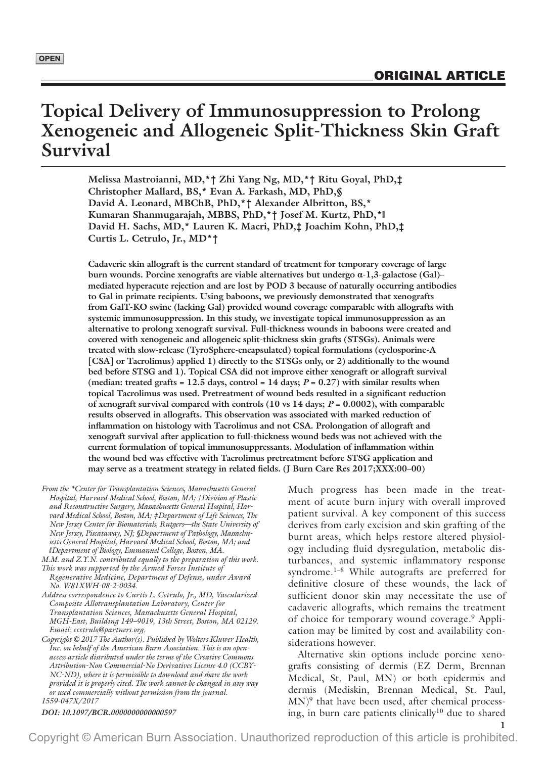# **Topical Delivery of Immunosuppression to Prolong Xenogeneic and Allogeneic Split-Thickness Skin Graft Survival**

**Melissa Mastroianni, MD,\*† Zhi Yang Ng, MD,\*† Ritu Goyal, PhD,‡ Christopher Mallard, BS,\* Evan A. Farkash, MD, PhD,§ David A. Leonard, MBChB, PhD,\*† Alexander Albritton, BS,\* Kumaran Shanmugarajah, MBBS, PhD,\*† Josef M. Kurtz, PhD,\*‖ David H. Sachs, MD,\* Lauren K. Macri, PhD,‡ Joachim Kohn, PhD,‡ Curtis L. Cetrulo, Jr., MD\*†**

**Cadaveric skin allograft is the current standard of treatment for temporary coverage of large burn wounds. Porcine xenografts are viable alternatives but undergo α-1,3-galactose (Gal)– mediated hyperacute rejection and are lost by POD 3 because of naturally occurring antibodies to Gal in primate recipients. Using baboons, we previously demonstrated that xenografts from GalT-KO swine (lacking Gal) provided wound coverage comparable with allografts with systemic immunosuppression. In this study, we investigate topical immunosuppression as an alternative to prolong xenograft survival. Full-thickness wounds in baboons were created and covered with xenogeneic and allogeneic split-thickness skin grafts (STSGs). Animals were treated with slow-release (TyroSphere-encapsulated) topical formulations (cyclosporine-A [CSA] or Tacrolimus) applied 1) directly to the STSGs only, or 2) additionally to the wound bed before STSG and 1). Topical CSA did not improve either xenograft or allograft survival**  (median: treated grafts  $= 12.5$  days, control  $= 14$  days;  $P = 0.27$ ) with similar results when **topical Tacrolimus was used. Pretreatment of wound beds resulted in a significant reduction of xenograft survival compared with controls (10 vs 14 days;** *P* **= 0.0002), with comparable results observed in allografts. This observation was associated with marked reduction of inflammation on histology with Tacrolimus and not CSA. Prolongation of allograft and xenograft survival after application to full-thickness wound beds was not achieved with the current formulation of topical immunosuppressants. Modulation of inflammation within the wound bed was effective with Tacrolimus pretreatment before STSG application and may serve as a treatment strategy in related fields. (J Burn Care Res 2017;XXX:00–00)**

*From the \*Center for Transplantation Sciences, Massachusetts General Hospital, Harvard Medical School, Boston, MA; †Division of Plastic and Reconstructive Surgery, Massachusetts General Hospital, Harvard Medical School, Boston, MA; ‡Department of Life Sciences, The New Jersey Center for Biomaterials, Rutgers—the State University of New Jersey, Piscataway, NJ; §Department of Pathology, Massachusetts General Hospital, Harvard Medical School, Boston, MA; and ‖Department of Biology, Emmanuel College, Boston, MA.*

*M.M. and Z.Y.N. contributed equally to the preparation of this work.*

- *This work was supported by the Armed Forces Institute of Regenerative Medicine, Department of Defense, under Award No. W81XWH-08-2-0034.*
- *Address correspondence to Curtis L. Cetrulo, Jr., MD, Vascularized Composite Allotransplantation Laboratory, Center for Transplantation Sciences, Massachusetts General Hospital, MGH-East, Building 149–9019, 13th Street, Boston, MA 02129. Email: [ccetrulo@partners.org.](mailto:ccetrulo@partners.org)*
- *Copyright © 2017 The Author(s). Published by Wolters Kluwer Health, Inc. on behalf of the American Burn Association. This is an openaccess article distributed under the terms of the [Creative Commons](https://creativecommons.org/licenses/by-nc-nd/4.0/)  [Attribution-Non Commercial-No Derivatives License 4.0 \(CCBY-](https://creativecommons.org/licenses/by-nc-nd/4.0/)[NC-ND\),](https://creativecommons.org/licenses/by-nc-nd/4.0/) where it is permissible to download and share the work provided it is properly cited. The work cannot be changed in any way or used commercially without permission from the journal. 1559-047X/2017*

*DOI: 10.1097/BCR.0000000000000597*

Much progress has been made in the treatment of acute burn injury with overall improved patient survival. A key component of this success derives from early excision and skin grafting of the burnt areas, which helps restore altered physiology including fluid dysregulation, metabolic disturbances, and systemic inflammatory response syndrome.<sup>1–8</sup> While autografts are preferred for definitive closure of these wounds, the lack of sufficient donor skin may necessitate the use of cadaveric allografts, which remains the treatment of choice for temporary wound coverage.9 Application may be limited by cost and availability considerations however.

Alternative skin options include porcine xenografts consisting of dermis (EZ Derm, Brennan Medical, St. Paul, MN) or both epidermis and dermis (Mediskin, Brennan Medical, St. Paul,  $MN$ <sup>9</sup> that have been used, after chemical processing, in burn care patients clinically<sup>10</sup> due to shared

**1**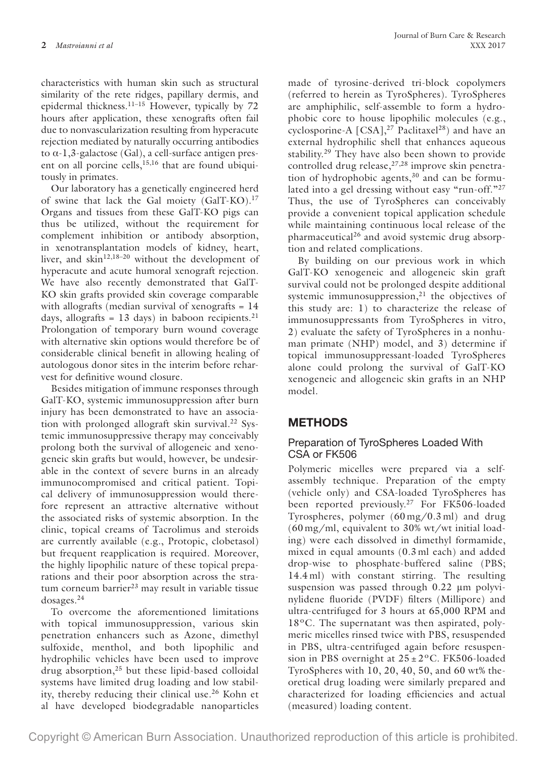characteristics with human skin such as structural similarity of the rete ridges, papillary dermis, and epidermal thickness.11–15 However, typically by 72 hours after application, these xenografts often fail due to nonvascularization resulting from hyperacute rejection mediated by naturally occurring antibodies to α-1,3-galactose (Gal), a cell-surface antigen present on all porcine cells,<sup>15,16</sup> that are found ubiquitously in primates.

Our laboratory has a genetically engineered herd of swine that lack the Gal moiety (GalT-KO).17 Organs and tissues from these GalT-KO pigs can thus be utilized, without the requirement for complement inhibition or antibody absorption, in xenotransplantation models of kidney, heart, liver, and skin<sup>12,18-20</sup> without the development of hyperacute and acute humoral xenograft rejection. We have also recently demonstrated that GalT-KO skin grafts provided skin coverage comparable with allografts (median survival of xenografts = 14 days, allografts = 13 days) in baboon recipients.<sup>21</sup> Prolongation of temporary burn wound coverage with alternative skin options would therefore be of considerable clinical benefit in allowing healing of autologous donor sites in the interim before reharvest for definitive wound closure.

Besides mitigation of immune responses through GalT-KO, systemic immunosuppression after burn injury has been demonstrated to have an association with prolonged allograft skin survival.<sup>22</sup> Systemic immunosuppressive therapy may conceivably prolong both the survival of allogeneic and xenogeneic skin grafts but would, however, be undesirable in the context of severe burns in an already immunocompromised and critical patient. Topical delivery of immunosuppression would therefore represent an attractive alternative without the associated risks of systemic absorption. In the clinic, topical creams of Tacrolimus and steroids are currently available (e.g., Protopic, clobetasol) but frequent reapplication is required. Moreover, the highly lipophilic nature of these topical preparations and their poor absorption across the stratum corneum barrier<sup>23</sup> may result in variable tissue dosages.24

To overcome the aforementioned limitations with topical immunosuppression, various skin penetration enhancers such as Azone, dimethyl sulfoxide, menthol, and both lipophilic and hydrophilic vehicles have been used to improve drug absorption,<sup>25</sup> but these lipid-based colloidal systems have limited drug loading and low stability, thereby reducing their clinical use.26 Kohn et al have developed biodegradable nanoparticles

made of tyrosine-derived tri-block copolymers (referred to herein as TyroSpheres). TyroSpheres are amphiphilic, self-assemble to form a hydrophobic core to house lipophilic molecules (e.g., cyclosporine-A  $[CSA]$ ,<sup>27</sup> Paclitaxel<sup>28</sup>) and have an external hydrophilic shell that enhances aqueous stability.<sup>29</sup> They have also been shown to provide controlled drug release, $27,28$  improve skin penetration of hydrophobic agents, $30$  and can be formulated into a gel dressing without easy "run-off."<sup>27</sup> Thus, the use of TyroSpheres can conceivably provide a convenient topical application schedule while maintaining continuous local release of the pharmaceutical26 and avoid systemic drug absorption and related complications.

By building on our previous work in which GalT-KO xenogeneic and allogeneic skin graft survival could not be prolonged despite additional systemic immunosuppression, $21$  the objectives of this study are: 1) to characterize the release of immunosuppressants from TyroSpheres in vitro, 2) evaluate the safety of TyroSpheres in a nonhuman primate (NHP) model, and 3) determine if topical immunosuppressant-loaded TyroSpheres alone could prolong the survival of GalT-KO xenogeneic and allogeneic skin grafts in an NHP model.

# **METHODS**

#### Preparation of TyroSpheres Loaded With CSA or FK506

Polymeric micelles were prepared via a selfassembly technique. Preparation of the empty (vehicle only) and CSA-loaded TyroSpheres has been reported previously.27 For FK506-loaded Tyrospheres, polymer (60 mg/0.3 ml) and drug (60 mg/ml, equivalent to 30% wt/wt initial loading) were each dissolved in dimethyl formamide, mixed in equal amounts (0.3 ml each) and added drop-wise to phosphate-buffered saline (PBS; 14.4 ml) with constant stirring. The resulting suspension was passed through 0.22 μm polyvinylidene fluoride (PVDF) filters (Millipore) and ultra-centrifuged for 3 hours at 65,000 RPM and 18ºC. The supernatant was then aspirated, polymeric micelles rinsed twice with PBS, resuspended in PBS, ultra-centrifuged again before resuspension in PBS overnight at  $25 \pm 2$ °C. FK506-loaded TyroSpheres with 10, 20, 40, 50, and 60 wt% theoretical drug loading were similarly prepared and characterized for loading efficiencies and actual (measured) loading content.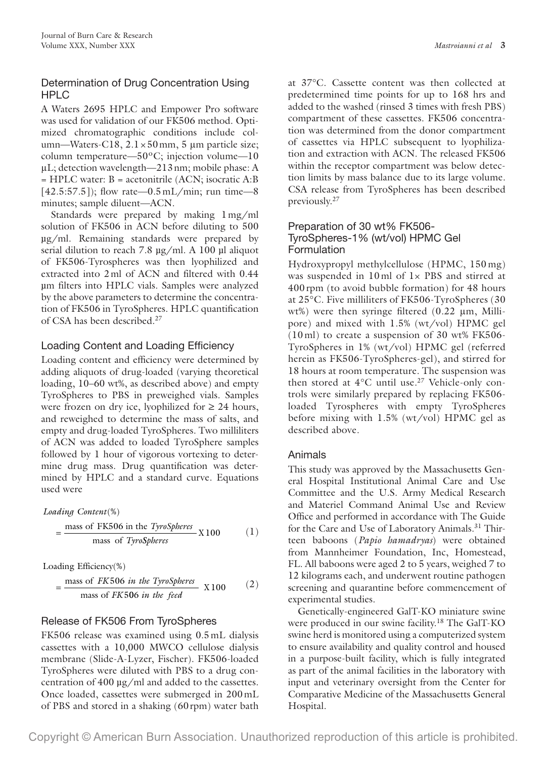## Determination of Drug Concentration Using HPLC

A Waters 2695 HPLC and Empower Pro software was used for validation of our FK506 method. Optimized chromatographic conditions include column—Waters-C18, 2.1×50mm, 5 μm particle size; column temperature—50ºC; injection volume—10 μL; detection wavelength—213nm; mobile phase: A = HPLC water: B = acetonitrile (ACN; isocratic A:B  $[42.5:57.5]$ ; flow rate—0.5 mL/min; run time—8 minutes; sample diluent—ACN.

Standards were prepared by making 1mg/ml solution of FK506 in ACN before diluting to 500 µg/ml. Remaining standards were prepared by serial dilution to reach 7.8 µg/ml. A 100 µl aliquot of FK506-Tyrospheres was then lyophilized and extracted into 2ml of ACN and filtered with 0.44 µm filters into HPLC vials. Samples were analyzed by the above parameters to determine the concentration of FK506 in TyroSpheres. HPLC quantification of CSA has been described.27

## Loading Content and Loading Efficiency

Loading content and efficiency were determined by adding aliquots of drug-loaded (varying theoretical loading, 10–60 wt%, as described above) and empty TyroSpheres to PBS in preweighed vials. Samples were frozen on dry ice, lyophilized for  $\geq 24$  hours, and reweighed to determine the mass of salts, and empty and drug-loaded TyroSpheres. Two milliliters of ACN was added to loaded TyroSphere samples followed by 1 hour of vigorous vortexing to determine drug mass. Drug quantification was determined by HPLC and a standard curve. Equations used were

*Loading Content* (%)

$$
= \frac{\text{mass of FK506 in the Typospheres}}{\text{mass of Typospheres}} \times 100 \tag{1}
$$

Loading Efficiency(%)

$$
= \frac{\text{mass of } FK506 \text{ in the TyroSpheres}}{\text{mass of } FK506 \text{ in the feed}} \quad \text{X100} \tag{2}
$$

## Release of FK506 From TyroSpheres

FK506 release was examined using 0.5mL dialysis cassettes with a 10,000 MWCO cellulose dialysis membrane (Slide-A-Lyzer, Fischer). FK506-loaded TyroSpheres were diluted with PBS to a drug concentration of 400 µg/ml and added to the cassettes. Once loaded, cassettes were submerged in 200mL of PBS and stored in a shaking (60rpm) water bath

at 37°C. Cassette content was then collected at predetermined time points for up to 168 hrs and added to the washed (rinsed 3 times with fresh PBS) compartment of these cassettes. FK506 concentration was determined from the donor compartment of cassettes via HPLC subsequent to lyophilization and extraction with ACN. The released FK506 within the receptor compartment was below detection limits by mass balance due to its large volume. CSA release from TyroSpheres has been described previously.27

#### Preparation of 30 wt% FK506- TyroSpheres-1% (wt/vol) HPMC Gel Formulation

Hydroxypropyl methylcellulose (HPMC, 150 mg) was suspended in 10 ml of 1× PBS and stirred at 400 rpm (to avoid bubble formation) for 48 hours at 25°C. Five milliliters of FK506-TyroSpheres (30 wt%) were then syringe filtered (0.22 μm, Millipore) and mixed with 1.5% (wt/vol) HPMC gel (10 ml) to create a suspension of 30 wt% FK506- TyroSpheres in 1% (wt/vol) HPMC gel (referred herein as FK506-TyroSpheres-gel), and stirred for 18 hours at room temperature. The suspension was then stored at  $4^{\circ}$ C until use.<sup>27</sup> Vehicle-only controls were similarly prepared by replacing FK506 loaded Tyrospheres with empty TyroSpheres before mixing with 1.5% (wt/vol) HPMC gel as described above.

## Animals

This study was approved by the Massachusetts General Hospital Institutional Animal Care and Use Committee and the U.S. Army Medical Research and Materiel Command Animal Use and Review Office and performed in accordance with The Guide for the Care and Use of Laboratory Animals.<sup>31</sup> Thirteen baboons (*Papio hamadryas*) were obtained from Mannheimer Foundation, Inc, Homestead, FL. All baboons were aged 2 to 5 years, weighed 7 to 12 kilograms each, and underwent routine pathogen screening and quarantine before commencement of experimental studies.

Genetically-engineered GalT-KO miniature swine were produced in our swine facility.<sup>18</sup> The GalT-KO swine herd is monitored using a computerized system to ensure availability and quality control and housed in a purpose-built facility, which is fully integrated as part of the animal facilities in the laboratory with input and veterinary oversight from the Center for Comparative Medicine of the Massachusetts General Hospital.

Copyright © American Burn Association. Unauthorized reproduction of this article is prohibited.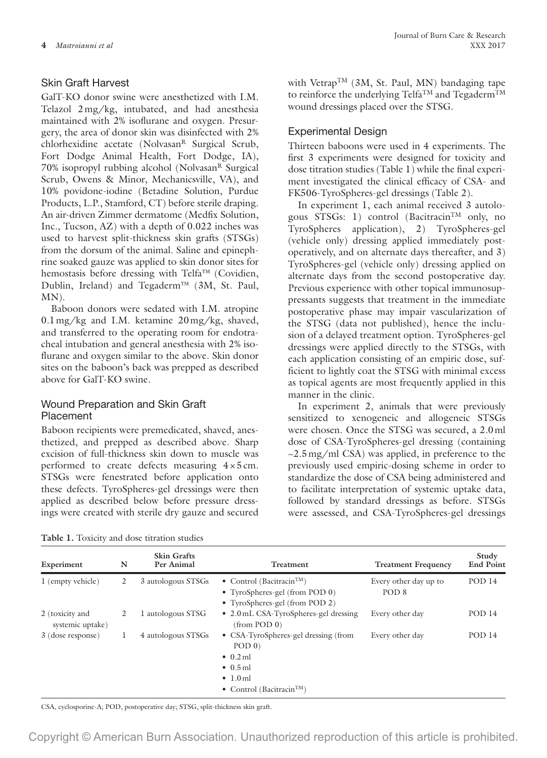#### Skin Graft Harvest

GalT-KO donor swine were anesthetized with I.M. Telazol 2mg/kg, intubated, and had anesthesia maintained with 2% isoflurane and oxygen. Presurgery, the area of donor skin was disinfected with 2% chlorhexidine acetate (Nolvasan<sup>R</sup> Surgical Scrub, Fort Dodge Animal Health, Fort Dodge, IA),  $70\%$  isopropyl rubbing alcohol (Nolvasan $<sup>R</sup>$  Surgical</sup> Scrub, Owens & Minor, Mechanicsville, VA), and 10% povidone-iodine (Betadine Solution, Purdue Products, L.P., Stamford, CT) before sterile draping. An air-driven Zimmer dermatome (Medfix Solution, Inc., Tucson, AZ) with a depth of 0.022 inches was used to harvest split-thickness skin grafts (STSGs) from the dorsum of the animal. Saline and epinephrine soaked gauze was applied to skin donor sites for hemostasis before dressing with Telfa™ (Covidien, Dublin, Ireland) and Tegaderm™ (3M, St. Paul, MN).

Baboon donors were sedated with I.M. atropine 0.1mg/kg and I.M. ketamine 20mg/kg, shaved, and transferred to the operating room for endotracheal intubation and general anesthesia with 2% isoflurane and oxygen similar to the above. Skin donor sites on the baboon's back was prepped as described above for GalT-KO swine.

#### Wound Preparation and Skin Graft Placement

Baboon recipients were premedicated, shaved, anesthetized, and prepped as described above. Sharp excision of full-thickness skin down to muscle was performed to create defects measuring  $4 \times 5$  cm. STSGs were fenestrated before application onto these defects. TyroSpheres-gel dressings were then applied as described below before pressure dressings were created with sterile dry gauze and secured with Vetrap<sup>TM</sup> (3M, St. Paul, MN) bandaging tape to reinforce the underlying Telfa<sup>TM</sup> and Tegaderm<sup>TM</sup> wound dressings placed over the STSG.

#### Experimental Design

Thirteen baboons were used in 4 experiments. The first 3 experiments were designed for toxicity and dose titration studies (Table 1) while the final experiment investigated the clinical efficacy of CSA- and FK506-TyroSpheres-gel dressings (Table 2).

In experiment 1, each animal received 3 autologous STSGs: 1) control (Bacitracin<sup>TM</sup> only, no TyroSpheres application), 2) TyroSpheres-gel (vehicle only) dressing applied immediately postoperatively, and on alternate days thereafter, and 3) TyroSpheres-gel (vehicle only) dressing applied on alternate days from the second postoperative day. Previous experience with other topical immunosuppressants suggests that treatment in the immediate postoperative phase may impair vascularization of the STSG (data not published), hence the inclusion of a delayed treatment option. TyroSpheres-gel dressings were applied directly to the STSGs, with each application consisting of an empiric dose, sufficient to lightly coat the STSG with minimal excess as topical agents are most frequently applied in this manner in the clinic.

In experiment 2, animals that were previously sensitized to xenogeneic and allogeneic STSGs were chosen. Once the STSG was secured, a 2.0ml dose of CSA-TyroSpheres-gel dressing (containing  $\sim$ 2.5 mg/ml CSA) was applied, in preference to the previously used empiric-dosing scheme in order to standardize the dose of CSA being administered and to facilitate interpretation of systemic uptake data, followed by standard dressings as before. STSGs were assessed, and CSA-TyroSpheres-gel dressings

|  |  | Table 1. Toxicity and dose titration studies |  |  |  |  |
|--|--|----------------------------------------------|--|--|--|--|
|--|--|----------------------------------------------|--|--|--|--|

| Experiment                          | N | <b>Skin Grafts</b><br>Per Animal | Treatment                                                                                                                                                     | <b>Treatment Frequency</b>                | Study<br><b>End Point</b> |
|-------------------------------------|---|----------------------------------|---------------------------------------------------------------------------------------------------------------------------------------------------------------|-------------------------------------------|---------------------------|
| 1 (empty vehicle)                   | 2 | 3 autologous STSGs               | • Control (Bacitracin <sup>TM</sup> )<br>• TyroSpheres-gel (from POD 0)<br>• TyroSpheres-gel (from POD 2)                                                     | Every other day up to<br>POD <sub>8</sub> | POD 14                    |
| 2 (toxicity and<br>systemic uptake) | 2 | 1 autologous STSG                | • 2.0 mL CSA-TyroSpheres-gel dressing<br>(from POD 0)                                                                                                         | Every other day                           | POD 14                    |
| 3 (dose response)                   |   | 4 autologous STSGs               | • CSA-TyroSpheres-gel dressing (from<br>POD <sub>0</sub><br>$\bullet$ 0.2 ml<br>$\bullet$ 0.5 ml<br>$\bullet$ 1.0 ml<br>• Control (Bacitracin <sup>TM</sup> ) | Every other day                           | <b>POD 14</b>             |

CSA, cyclosporine-A; POD, postoperative day; STSG, split-thickness skin graft.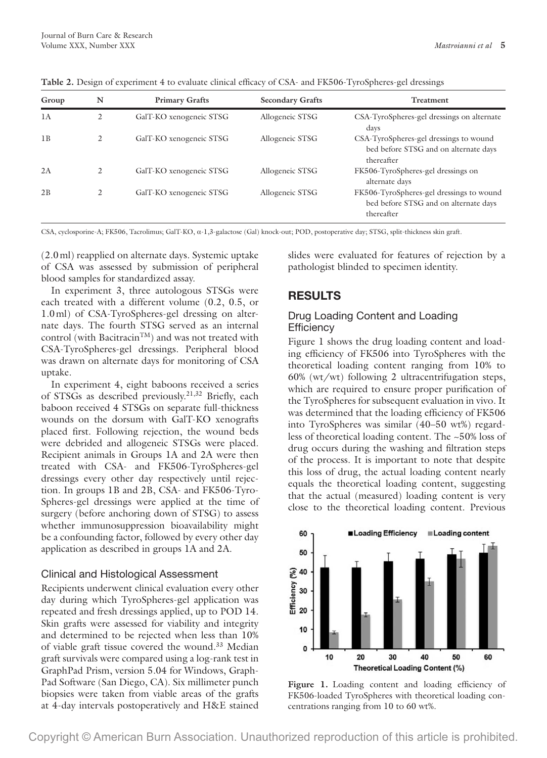| Table 2. Design of experiment 4 to evaluate clinical efficacy of CSA- and FK506-TyroSpheres-gel dressings |  |  |
|-----------------------------------------------------------------------------------------------------------|--|--|
|-----------------------------------------------------------------------------------------------------------|--|--|

| Group | N | <b>Primary Grafts</b>   | <b>Secondary Grafts</b> | <b>Treatment</b>                                                                                |
|-------|---|-------------------------|-------------------------|-------------------------------------------------------------------------------------------------|
| 1A    | 2 | GalT-KO xenogeneic STSG | Allogeneic STSG         | CSA-TyroSpheres-gel dressings on alternate<br>days                                              |
| 1B    | 2 | GalT-KO xenogeneic STSG | Allogeneic STSG         | CSA-TyroSpheres-gel dressings to wound<br>bed before STSG and on alternate days<br>thereafter   |
| 2A    |   | GalT-KO xenogeneic STSG | Allogeneic STSG         | FK506-TyroSpheres-gel dressings on<br>alternate days                                            |
| 2B    | 2 | GalT-KO xenogeneic STSG | Allogeneic STSG         | FK506-TyroSpheres-gel dressings to wound<br>bed before STSG and on alternate days<br>thereafter |

CSA, cyclosporine-A; FK506, Tacrolimus; GalT-KO, α-1,3-galactose (Gal) knock-out; POD, postoperative day; STSG, split-thickness skin graft.

(2.0ml) reapplied on alternate days. Systemic uptake of CSA was assessed by submission of peripheral blood samples for standardized assay.

In experiment 3, three autologous STSGs were each treated with a different volume (0.2, 0.5, or 1.0ml) of CSA-TyroSpheres-gel dressing on alternate days. The fourth STSG served as an internal control (with Bacitracin<sup>TM</sup>) and was not treated with CSA-TyroSpheres-gel dressings. Peripheral blood was drawn on alternate days for monitoring of CSA uptake.

In experiment 4, eight baboons received a series of STSGs as described previously.21,32 Briefly, each baboon received 4 STSGs on separate full-thickness wounds on the dorsum with GalT-KO xenografts placed first. Following rejection, the wound beds were debrided and allogeneic STSGs were placed. Recipient animals in Groups 1A and 2A were then treated with CSA- and FK506-TyroSpheres-gel dressings every other day respectively until rejection. In groups 1B and 2B, CSA- and FK506-Tyro-Spheres-gel dressings were applied at the time of surgery (before anchoring down of STSG) to assess whether immunosuppression bioavailability might be a confounding factor, followed by every other day application as described in groups 1A and 2A.

## Clinical and Histological Assessment

Recipients underwent clinical evaluation every other day during which TyroSpheres-gel application was repeated and fresh dressings applied, up to POD 14. Skin grafts were assessed for viability and integrity and determined to be rejected when less than 10% of viable graft tissue covered the wound.<sup>33</sup> Median graft survivals were compared using a log-rank test in GraphPad Prism, version 5.04 for Windows, Graph-Pad Software (San Diego, CA). Six millimeter punch biopsies were taken from viable areas of the grafts at 4-day intervals postoperatively and H&E stained slides were evaluated for features of rejection by a pathologist blinded to specimen identity.

# **RESULTS**

#### Drug Loading Content and Loading **Efficiency**

Figure 1 shows the drug loading content and loading efficiency of FK506 into TyroSpheres with the theoretical loading content ranging from 10% to 60% (wt/wt) following 2 ultracentrifugation steps, which are required to ensure proper purification of the TyroSpheres for subsequent evaluation in vivo. It was determined that the loading efficiency of FK506 into TyroSpheres was similar (40–50 wt%) regardless of theoretical loading content. The ~50% loss of drug occurs during the washing and filtration steps of the process. It is important to note that despite this loss of drug, the actual loading content nearly equals the theoretical loading content, suggesting that the actual (measured) loading content is very close to the theoretical loading content. Previous



Figure 1. Loading content and loading efficiency of FK506-loaded TyroSpheres with theoretical loading concentrations ranging from 10 to 60 wt%.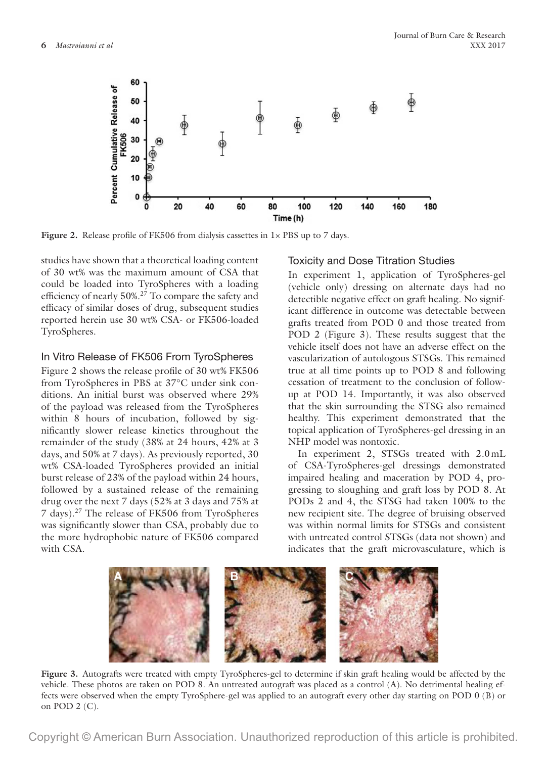

Figure 2. Release profile of FK506 from dialysis cassettes in  $1 \times PBS$  up to 7 days.

studies have shown that a theoretical loading content of 30 wt% was the maximum amount of CSA that could be loaded into TyroSpheres with a loading efficiency of nearly 50%.27 To compare the safety and efficacy of similar doses of drug, subsequent studies reported herein use 30 wt% CSA- or FK506-loaded TyroSpheres.

#### In Vitro Release of FK506 From TyroSpheres

Figure 2 shows the release profile of 30 wt% FK506 from TyroSpheres in PBS at 37°C under sink conditions. An initial burst was observed where 29% of the payload was released from the TyroSpheres within 8 hours of incubation, followed by significantly slower release kinetics throughout the remainder of the study (38% at 24 hours, 42% at 3 days, and 50% at 7 days). As previously reported, 30 wt% CSA-loaded TyroSpheres provided an initial burst release of 23% of the payload within 24 hours, followed by a sustained release of the remaining drug over the next 7 days (52% at 3 days and 75% at 7 days).27 The release of FK506 from TyroSpheres was significantly slower than CSA, probably due to the more hydrophobic nature of FK506 compared with CSA.

#### Toxicity and Dose Titration Studies

In experiment 1, application of TyroSpheres-gel (vehicle only) dressing on alternate days had no detectible negative effect on graft healing. No significant difference in outcome was detectable between grafts treated from POD 0 and those treated from POD 2 (Figure 3). These results suggest that the vehicle itself does not have an adverse effect on the vascularization of autologous STSGs. This remained true at all time points up to POD 8 and following cessation of treatment to the conclusion of followup at POD 14. Importantly, it was also observed that the skin surrounding the STSG also remained healthy. This experiment demonstrated that the topical application of TyroSpheres-gel dressing in an NHP model was nontoxic.

In experiment 2, STSGs treated with 2.0mL of CSA-TyroSpheres-gel dressings demonstrated impaired healing and maceration by POD 4, progressing to sloughing and graft loss by POD 8. At PODs 2 and 4, the STSG had taken 100% to the new recipient site. The degree of bruising observed was within normal limits for STSGs and consistent with untreated control STSGs (data not shown) and indicates that the graft microvasculature, which is



**Figure 3.** Autografts were treated with empty TyroSpheres-gel to determine if skin graft healing would be affected by the vehicle. These photos are taken on POD 8. An untreated autograft was placed as a control (A). No detrimental healing effects were observed when the empty TyroSphere-gel was applied to an autograft every other day starting on POD 0 (B) or on POD  $2$  (C).

Copyright © American Burn Association. Unauthorized reproduction of this article is prohibited.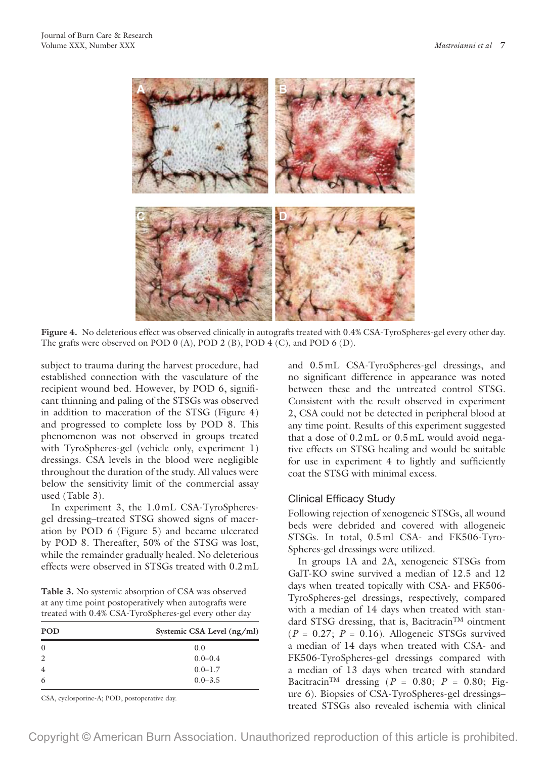

**Figure 4.** No deleterious effect was observed clinically in autografts treated with 0.4% CSA-TyroSpheres-gel every other day. The grafts were observed on POD 0 (A), POD 2 (B), POD 4 (C), and POD 6 (D).

subject to trauma during the harvest procedure, had established connection with the vasculature of the recipient wound bed. However, by POD 6, significant thinning and paling of the STSGs was observed in addition to maceration of the STSG (Figure 4) and progressed to complete loss by POD 8. This phenomenon was not observed in groups treated with TyroSpheres-gel (vehicle only, experiment 1) dressings. CSA levels in the blood were negligible throughout the duration of the study. All values were below the sensitivity limit of the commercial assay used (Table 3).

In experiment 3, the 1.0mL CSA-TyroSpheresgel dressing–treated STSG showed signs of maceration by POD 6 (Figure 5) and became ulcerated by POD 8. Thereafter, 50% of the STSG was lost, while the remainder gradually healed. No deleterious effects were observed in STSGs treated with 0.2mL

**Table 3.** No systemic absorption of CSA was observed at any time point postoperatively when autografts were treated with 0.4% CSA-TyroSpheres-gel every other day

| <b>POD</b>     | Systemic CSA Level (ng/ml) |  |  |
|----------------|----------------------------|--|--|
| $\bf{0}$       | 0.0                        |  |  |
| 2              | $0.0 - 0.4$                |  |  |
| $\overline{4}$ | $0.0 - 1.7$                |  |  |
| 6              | $0.0 - 3.5$                |  |  |

CSA, cyclosporine-A; POD, postoperative day.

and 0.5mL CSA-TyroSpheres-gel dressings, and no significant difference in appearance was noted between these and the untreated control STSG. Consistent with the result observed in experiment 2, CSA could not be detected in peripheral blood at any time point. Results of this experiment suggested that a dose of 0.2mL or 0.5mL would avoid negative effects on STSG healing and would be suitable for use in experiment 4 to lightly and sufficiently coat the STSG with minimal excess.

#### Clinical Efficacy Study

Following rejection of xenogeneic STSGs, all wound beds were debrided and covered with allogeneic STSGs. In total, 0.5ml CSA- and FK506-Tyro-Spheres-gel dressings were utilized.

In groups 1A and 2A, xenogeneic STSGs from GalT-KO swine survived a median of 12.5 and 12 days when treated topically with CSA- and FK506- TyroSpheres-gel dressings, respectively, compared with a median of 14 days when treated with standard STSG dressing, that is, Bacitracin<sup>TM</sup> ointment  $(P = 0.27; P = 0.16)$ . Allogeneic STSGs survived a median of 14 days when treated with CSA- and FK506-TyroSpheres-gel dressings compared with a median of 13 days when treated with standard Bacitracin<sup>TM</sup> dressing ( $P = 0.80$ ;  $P = 0.80$ ; Figure 6). Biopsies of CSA-TyroSpheres-gel dressings– treated STSGs also revealed ischemia with clinical

Copyright © American Burn Association. Unauthorized reproduction of this article is prohibited.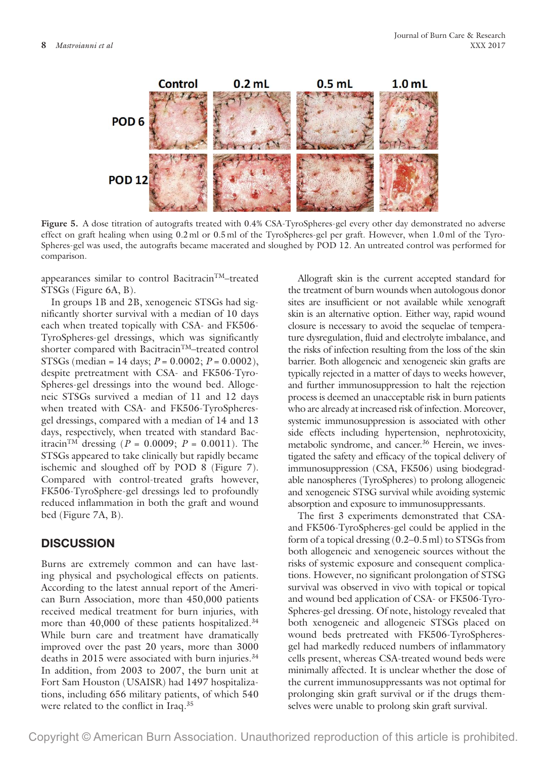

**Figure 5.** A dose titration of autografts treated with 0.4% CSA-TyroSpheres-gel every other day demonstrated no adverse effect on graft healing when using 0.2ml or 0.5ml of the TyroSpheres-gel per graft. However, when 1.0ml of the Tyro-Spheres-gel was used, the autografts became macerated and sloughed by POD 12. An untreated control was performed for comparison.

appearances similar to control Bacitracin<sup>TM</sup>–treated STSGs (Figure 6A, B).

In groups 1B and 2B, xenogeneic STSGs had significantly shorter survival with a median of 10 days each when treated topically with CSA- and FK506- TyroSpheres-gel dressings, which was significantly shorter compared with Bacitracin<sup>TM</sup>–treated control STSGs (median = 14 days; *P* = 0.0002; *P* = 0.0002), despite pretreatment with CSA- and FK506-Tyro-Spheres-gel dressings into the wound bed. Allogeneic STSGs survived a median of 11 and 12 days when treated with CSA- and FK506-TyroSpheresgel dressings, compared with a median of 14 and 13 days, respectively, when treated with standard Bacitracin<sup>TM</sup> dressing (*P* = 0.0009; *P* = 0.0011). The STSGs appeared to take clinically but rapidly became ischemic and sloughed off by POD 8 (Figure 7). Compared with control-treated grafts however, FK506-TyroSphere-gel dressings led to profoundly reduced inflammation in both the graft and wound bed (Figure 7A, B).

#### **DISCUSSION**

Burns are extremely common and can have lasting physical and psychological effects on patients. According to the latest annual report of the American Burn Association, more than 450,000 patients received medical treatment for burn injuries, with more than 40,000 of these patients hospitalized.<sup>34</sup> While burn care and treatment have dramatically improved over the past 20 years, more than 3000 deaths in 2015 were associated with burn injuries.<sup>34</sup> In addition, from 2003 to 2007, the burn unit at Fort Sam Houston (USAISR) had 1497 hospitalizations, including 656 military patients, of which 540 were related to the conflict in Iraq.<sup>35</sup>

Allograft skin is the current accepted standard for the treatment of burn wounds when autologous donor sites are insufficient or not available while xenograft skin is an alternative option. Either way, rapid wound closure is necessary to avoid the sequelae of temperature dysregulation, fluid and electrolyte imbalance, and the risks of infection resulting from the loss of the skin barrier. Both allogeneic and xenogeneic skin grafts are typically rejected in a matter of days to weeks however, and further immunosuppression to halt the rejection process is deemed an unacceptable risk in burn patients who are already at increased risk of infection. Moreover, systemic immunosuppression is associated with other side effects including hypertension, nephrotoxicity, metabolic syndrome, and cancer.<sup>36</sup> Herein, we investigated the safety and efficacy of the topical delivery of immunosuppression (CSA, FK506) using biodegradable nanospheres (TyroSpheres) to prolong allogeneic and xenogeneic STSG survival while avoiding systemic absorption and exposure to immunosuppressants.

The first 3 experiments demonstrated that CSAand FK506-TyroSpheres-gel could be applied in the form of a topical dressing (0.2–0.5ml) to STSGs from both allogeneic and xenogeneic sources without the risks of systemic exposure and consequent complications. However, no significant prolongation of STSG survival was observed in vivo with topical or topical and wound bed application of CSA- or FK506-Tyro-Spheres-gel dressing. Of note, histology revealed that both xenogeneic and allogeneic STSGs placed on wound beds pretreated with FK506-TyroSpheresgel had markedly reduced numbers of inflammatory cells present, whereas CSA-treated wound beds were minimally affected. It is unclear whether the dose of the current immunosuppressants was not optimal for prolonging skin graft survival or if the drugs themselves were unable to prolong skin graft survival.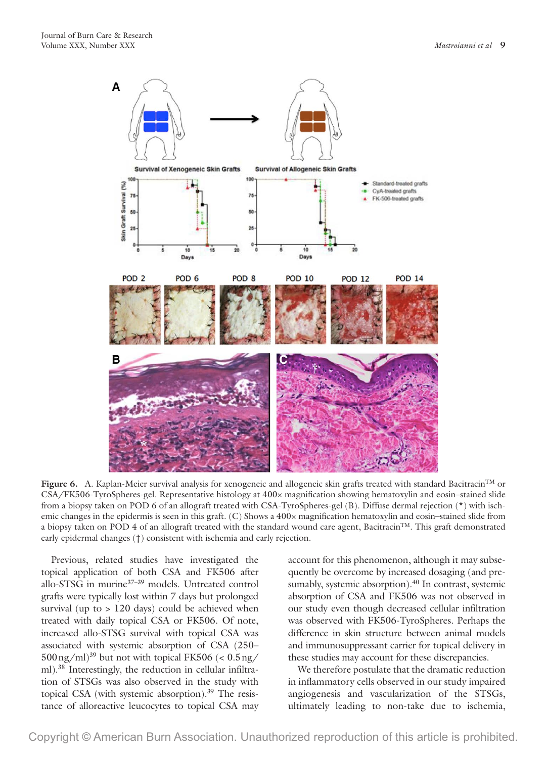

Figure 6. A. Kaplan-Meier survival analysis for xenogeneic and allogeneic skin grafts treated with standard Bacitracin™ or CSA/FK506-TyroSpheres-gel. Representative histology at 400× magnification showing hematoxylin and eosin–stained slide from a biopsy taken on POD 6 of an allograft treated with CSA-TyroSpheres-gel (B). Diffuse dermal rejection (\*) with ischemic changes in the epidermis is seen in this graft. (C) Shows a 400× magnification hematoxylin and eosin–stained slide from a biopsy taken on POD 4 of an allograft treated with the standard wound care agent, Bacitracin<sup>TM</sup>. This graft demonstrated early epidermal changes (†) consistent with ischemia and early rejection.

Previous, related studies have investigated the topical application of both CSA and FK506 after allo-STSG in murine<sup>37-39</sup> models. Untreated control grafts were typically lost within 7 days but prolonged survival (up to > 120 days) could be achieved when treated with daily topical CSA or FK506. Of note, increased allo-STSG survival with topical CSA was associated with systemic absorption of CSA (250–  $500 \text{ ng/ml}^{39}$  but not with topical FK506 (<  $0.5 \text{ ng/h}$ ) ml).38 Interestingly, the reduction in cellular infiltration of STSGs was also observed in the study with topical CSA (with systemic absorption).<sup>39</sup> The resistance of alloreactive leucocytes to topical CSA may

account for this phenomenon, although it may subsequently be overcome by increased dosaging (and presumably, systemic absorption).<sup>40</sup> In contrast, systemic absorption of CSA and FK506 was not observed in our study even though decreased cellular infiltration was observed with FK506-TyroSpheres. Perhaps the difference in skin structure between animal models and immunosuppressant carrier for topical delivery in these studies may account for these discrepancies.

We therefore postulate that the dramatic reduction in inflammatory cells observed in our study impaired angiogenesis and vascularization of the STSGs, ultimately leading to non-take due to ischemia,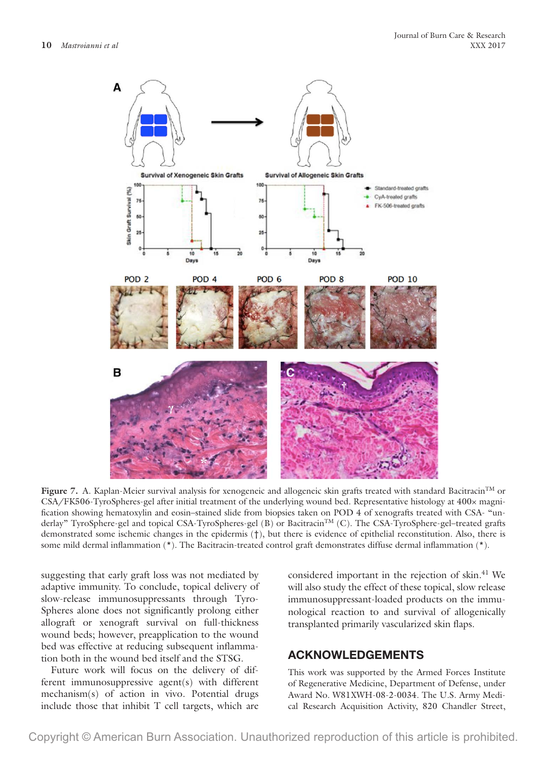

Figure 7. A. Kaplan-Meier survival analysis for xenogeneic and allogeneic skin grafts treated with standard Bacitracin™ or CSA/FK506-TyroSpheres-gel after initial treatment of the underlying wound bed. Representative histology at 400× magnification showing hematoxylin and eosin–stained slide from biopsies taken on POD 4 of xenografts treated with CSA- "underlay" TyroSphere-gel and topical CSA-TyroSpheres-gel (B) or BacitracinTM (C). The CSA-TyroSphere-gel–treated grafts demonstrated some ischemic changes in the epidermis (†), but there is evidence of epithelial reconstitution. Also, there is some mild dermal inflammation (\*). The Bacitracin-treated control graft demonstrates diffuse dermal inflammation (\*).

suggesting that early graft loss was not mediated by adaptive immunity. To conclude, topical delivery of slow-release immunosuppressants through Tyro-Spheres alone does not significantly prolong either allograft or xenograft survival on full-thickness wound beds; however, preapplication to the wound bed was effective at reducing subsequent inflammation both in the wound bed itself and the STSG.

Future work will focus on the delivery of different immunosuppressive agent(s) with different mechanism(s) of action in vivo. Potential drugs include those that inhibit T cell targets, which are

considered important in the rejection of skin.<sup>41</sup> We will also study the effect of these topical, slow release immunosuppressant-loaded products on the immunological reaction to and survival of allogenically transplanted primarily vascularized skin flaps.

#### **ACKNOWLEDGEMENTS**

This work was supported by the Armed Forces Institute of Regenerative Medicine, Department of Defense, under Award No. W81XWH-08-2-0034. The U.S. Army Medical Research Acquisition Activity, 820 Chandler Street,